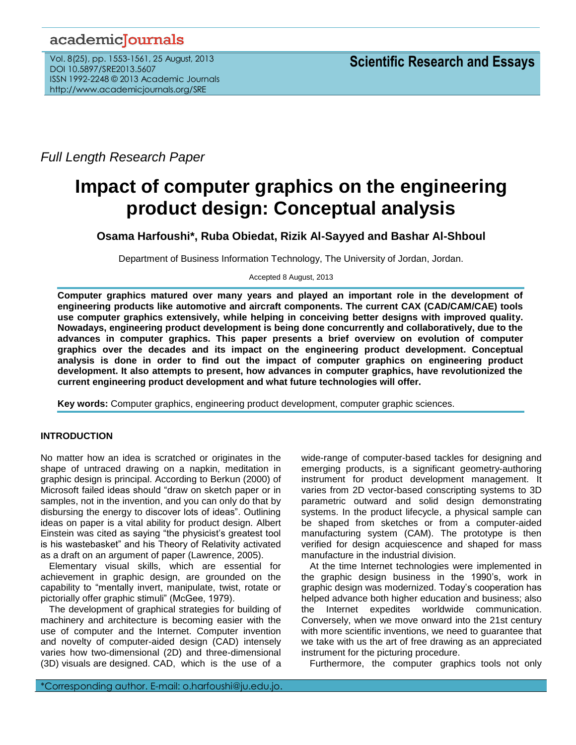## academicJournals

Vol. 8(25), pp. 1553-1561, 25 August, 2013 DOI 10.5897/SRE2013.5607 ISSN 1992-2248 © 2013 Academic Journals http://www.academicjournals.org/SRE

*Full Length Research Paper*

# **Impact of computer graphics on the engineering product design: Conceptual analysis**

**Osama Harfoushi\*, Ruba Obiedat, Rizik Al-Sayyed and Bashar Al-Shboul**

Department of Business Information Technology, The University of Jordan, Jordan.

Accepted 8 August, 2013

**Computer graphics matured over many years and played an important role in the development of engineering products like automotive and aircraft components. The current CAX (CAD/CAM/CAE) tools use computer graphics extensively, while helping in conceiving better designs with improved quality. Nowadays, engineering product development is being done concurrently and collaboratively, due to the advances in computer graphics. This paper presents a brief overview on evolution of computer graphics over the decades and its impact on the engineering product development. Conceptual analysis is done in order to find out the impact of computer graphics on engineering product development. It also attempts to present, how advances in computer graphics, have revolutionized the current engineering product development and what future technologies will offer.**

**Key words:** Computer graphics, engineering product development, computer graphic sciences.

### **INTRODUCTION**

No matter how an idea is scratched or originates in the shape of untraced drawing on a napkin, meditation in graphic design is principal. According to Berkun (2000) of Microsoft failed ideas should "draw on sketch paper or in samples, not in the invention, and you can only do that by disbursing the energy to discover lots of ideas". Outlining ideas on paper is a vital ability for product design. Albert Einstein was cited as saying "the physicist's greatest tool is his wastebasket" and his Theory of Relativity activated as a draft on an argument of paper (Lawrence, 2005).

Elementary visual skills, which are essential for achievement in graphic design, are grounded on the capability to "mentally invert, manipulate, twist, rotate or pictorially offer graphic stimuli" (McGee, 1979).

The development of graphical strategies for building of machinery and architecture is becoming easier with the use of computer and the Internet. Computer invention and novelty of computer-aided design (CAD) intensely varies how two-dimensional (2D) and three-dimensional (3D) visuals are designed. CAD, which is the use of a wide-range of computer-based tackles for designing and emerging products, is a significant geometry-authoring instrument for product development management. It varies from 2D vector-based conscripting systems to 3D parametric outward and solid design demonstrating systems. In the product lifecycle, a physical sample can be shaped from sketches or from a computer-aided manufacturing system (CAM). The prototype is then verified for design acquiescence and shaped for mass manufacture in the industrial division.

At the time Internet technologies were implemented in the graphic design business in the 1990's, work in graphic design was modernized. Today's cooperation has helped advance both higher education and business; also the Internet expedites worldwide communication. Conversely, when we move onward into the 21st century with more scientific inventions, we need to guarantee that we take with us the art of free drawing as an appreciated instrument for the picturing procedure.

Furthermore, the computer graphics tools not only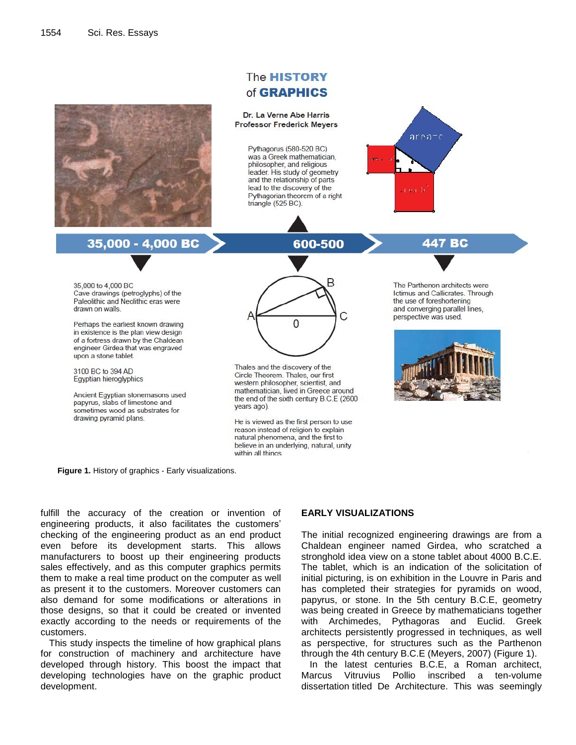

**Figure 1.** History of graphics - Early visualizations.

fulfill the accuracy of the creation or invention of engineering products, it also facilitates the customers' checking of the engineering product as an end product even before its development starts. This allows manufacturers to boost up their engineering products sales effectively, and as this computer graphics permits them to make a real time product on the computer as well as present it to the customers. Moreover customers can also demand for some modifications or alterations in those designs, so that it could be created or invented exactly according to the needs or requirements of the customers.

This study inspects the timeline of how graphical plans for construction of machinery and architecture have developed through history. This boost the impact that developing technologies have on the graphic product development.

#### **EARLY VISUALIZATIONS**

The initial recognized engineering drawings are from a Chaldean engineer named Girdea, who scratched a stronghold idea view on a stone tablet about 4000 B.C.E. The tablet, which is an indication of the solicitation of initial picturing, is on exhibition in the Louvre in Paris and has completed their strategies for pyramids on wood, papyrus, or stone. In the 5th century B.C.E, geometry was being created in Greece by mathematicians together with Archimedes, Pythagoras and Euclid. Greek architects persistently progressed in techniques, as well as perspective, for structures such as the Parthenon through the 4th century B.C.E (Meyers, 2007) (Figure 1).

In the latest centuries B.C.E, a Roman architect, Marcus Vitruvius Pollio inscribed a ten-volume dissertation titled De Architecture. This was seemingly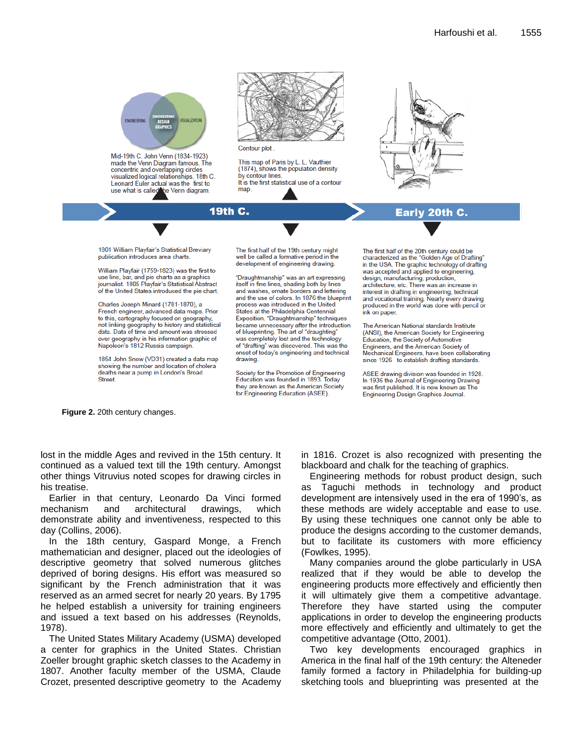

Charles Joseph Minard (1781-1870), a French engineer, advanced data maps. Prior to this, cartography focused on geography, not linking geography to history and statistical data. Data of time and amount was stressed over geography in his information graphic of Napoleon's 1812 Russia campaign.

1854 John Snow (VD31) created a data map showing the number and location of cholera deaths near a pump in London's Broad **Street** 

and washes, ornate borders and lettering and the use of colors. In 1876 the blueprint process was introduced in the United States at the Philadelphia Centennial Exposition. "Draughtmanship" techniques became unnecessary after the introduction of blueprinting. The art of "draughting" was completely lost and the technology of "drafting" was discovered. This was the onset of today's engineering and technical drawing.

Society for the Promotion of Engineering Education was founded in 1893. Today they are known as the American Society for Engineering Education (ASEE).

interest in drafting in engineering, technical and vocational training. Nearly every drawing<br>produced in the world was done with pencil or ink on paper.

The American National standards Institute (ANSI), the American Society for Engineering Education, the Society of Automotive Engineers, and the American Society of Mechanical Engineers, have been collaborating since 1926 to establish drafting standards.

ASEE drawing division was founded in 1928. In 1936 the Journal of Engineering Drawing was first published. It is now known as The Engineering Design Graphics Journal.

**Figure 2.** 20th century changes.

lost in the middle Ages and revived in the 15th century. It continued as a valued text till the 19th century. Amongst other things Vitruvius noted scopes for drawing circles in his treatise.

Earlier in that century, Leonardo Da Vinci formed mechanism and architectural drawings, which demonstrate ability and inventiveness, respected to this day (Collins, 2006).

In the 18th century, Gaspard Monge, a French mathematician and designer, placed out the ideologies of descriptive geometry that solved numerous glitches deprived of boring designs. His effort was measured so significant by the French administration that it was reserved as an armed secret for nearly 20 years. By 1795 he helped establish a university for training engineers and issued a text based on his addresses (Reynolds, 1978).

The United States Military Academy (USMA) developed a center for graphics in the United States. Christian Zoeller brought graphic sketch classes to the Academy in 1807. Another faculty member of the USMA, Claude Crozet, presented descriptive geometry to the Academy in 1816. Crozet is also recognized with presenting the blackboard and chalk for the teaching of graphics.

Engineering methods for robust product design, such as Taguchi methods in technology and product development are intensively used in the era of 1990's, as these methods are widely acceptable and ease to use. By using these techniques one cannot only be able to produce the designs according to the customer demands, but to facilitate its customers with more efficiency (Fowlkes, 1995).

Many companies around the globe particularly in USA realized that if they would be able to develop the engineering products more effectively and efficiently then it will ultimately give them a competitive advantage. Therefore they have started using the computer applications in order to develop the engineering products more effectively and efficiently and ultimately to get the competitive advantage (Otto, 2001).

Two key developments encouraged graphics in America in the final half of the 19th century: the Alteneder family formed a factory in Philadelphia for building-up sketching tools and blueprinting was presented at the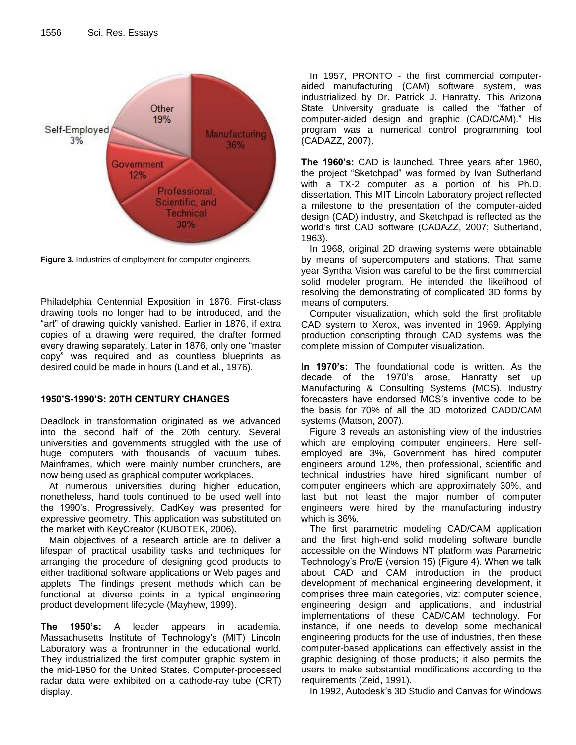

**Figure 3.** Industries of employment for computer engineers.

Philadelphia Centennial Exposition in 1876. First-class drawing tools no longer had to be introduced, and the "art" of drawing quickly vanished. Earlier in 1876, if extra copies of a drawing were required, the drafter formed every drawing separately. Later in 1876, only one "master copy" was required and as countless blueprints as desired could be made in hours (Land et al., 1976).

### **1950'S-1990'S: 20TH CENTURY CHANGES**

Deadlock in transformation originated as we advanced into the second half of the 20th century. Several universities and governments struggled with the use of huge computers with thousands of vacuum tubes. Mainframes, which were mainly number crunchers, are now being used as graphical computer workplaces.

At numerous universities during higher education, nonetheless, hand tools continued to be used well into the 1990's. Progressively, CadKey was presented for expressive geometry. This application was substituted on the market with KeyCreator (KUBOTEK, 2006).

Main objectives of a research article are to deliver a lifespan of practical usability tasks and techniques for arranging the procedure of designing good products to either traditional software applications or Web pages and applets. The findings present methods which can be functional at diverse points in a typical engineering product development lifecycle (Mayhew, 1999).

**The 1950's:** A leader appears in academia. Massachusetts Institute of Technology's (MIT) Lincoln Laboratory was a frontrunner in the educational world. They industrialized the first computer graphic system in the mid-1950 for the United States. Computer-processed radar data were exhibited on a cathode-ray tube (CRT) display.

In 1957, PRONTO - the first commercial computeraided manufacturing (CAM) software system, was industrialized by Dr. Patrick J. Hanratty. This Arizona State University graduate is called the "father of computer-aided design and graphic (CAD/CAM)." His program was a numerical control programming tool (CADAZZ, 2007).

**The 1960's:** CAD is launched. Three years after 1960, the project "Sketchpad" was formed by Ivan Sutherland with a TX-2 computer as a portion of his Ph.D. dissertation. This MIT Lincoln Laboratory project reflected a milestone to the presentation of the computer-aided design (CAD) industry, and Sketchpad is reflected as the world's first CAD software (CADAZZ, 2007; Sutherland, 1963).

In 1968, original 2D drawing systems were obtainable by means of supercomputers and stations. That same year Syntha Vision was careful to be the first commercial solid modeler program. He intended the likelihood of resolving the demonstrating of complicated 3D forms by means of computers.

Computer visualization, which sold the first profitable CAD system to Xerox, was invented in 1969. Applying production conscripting through CAD systems was the complete mission of Computer visualization.

**In 1970's:** The foundational code is written. As the decade of the 1970's arose, Hanratty set up Manufacturing & Consulting Systems (MCS). Industry forecasters have endorsed MCS's inventive code to be the basis for 70% of all the 3D motorized CADD/CAM systems (Matson, 2007).

Figure 3 reveals an astonishing view of the industries which are employing computer engineers. Here selfemployed are 3%, Government has hired computer engineers around 12%, then professional, scientific and technical industries have hired significant number of computer engineers which are approximately 30%, and last but not least the major number of computer engineers were hired by the manufacturing industry which is 36%.

The first parametric modeling CAD/CAM application and the first high-end solid modeling software bundle accessible on the Windows NT platform was Parametric Technology's Pro/E (version 15) (Figure 4). When we talk about CAD and CAM introduction in the product development of mechanical engineering development, it comprises three main categories, viz: computer science, engineering design and applications, and industrial implementations of these CAD/CAM technology. For instance, if one needs to develop some mechanical engineering products for the use of industries, then these computer-based applications can effectively assist in the graphic designing of those products; it also permits the users to make substantial modifications according to the requirements (Zeid, 1991).

In 1992, Autodesk's 3D Studio and Canvas for Windows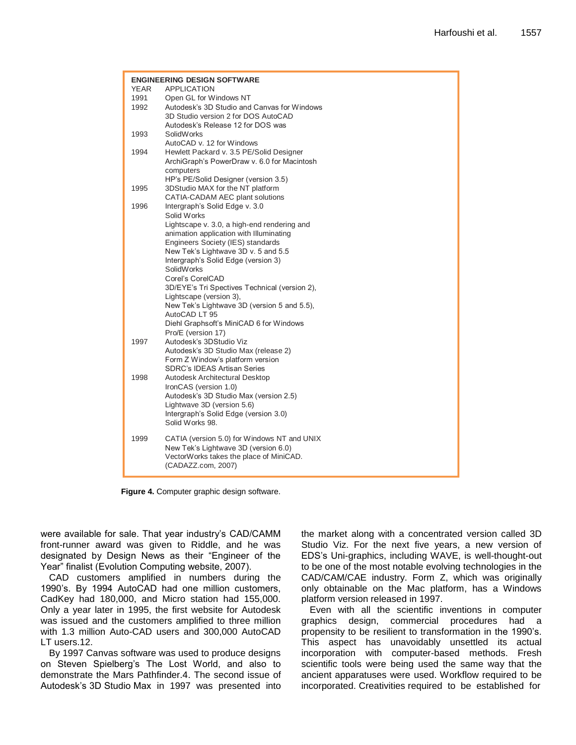| <b>ENGINEERING DESIGN SOFTWARE</b><br>YEAR<br><b>APPLICATION</b> |                                               |
|------------------------------------------------------------------|-----------------------------------------------|
| 1991                                                             | Open GL for Windows NT                        |
| 1992                                                             | Autodesk's 3D Studio and Canvas for Windows   |
|                                                                  | 3D Studio version 2 for DOS AutoCAD           |
|                                                                  | Autodesk's Release 12 for DOS was             |
| 1993                                                             | SolidWorks                                    |
|                                                                  | AutoCAD v. 12 for Windows                     |
| 1994                                                             | Hewlett Packard v. 3.5 PE/Solid Designer      |
|                                                                  | ArchiGraph's PowerDraw v. 6.0 for Macintosh   |
|                                                                  | computers                                     |
|                                                                  | HP's PE/Solid Designer (version 3.5)          |
| 1995                                                             | 3DStudio MAX for the NT platform              |
|                                                                  | CATIA-CADAM AEC plant solutions               |
| 1996                                                             | Intergraph's Solid Edge v. 3.0                |
|                                                                  | Solid Works                                   |
|                                                                  | Lightscape v. 3.0, a high-end rendering and   |
|                                                                  | animation application with Illuminating       |
|                                                                  | Engineers Society (IES) standards             |
|                                                                  | New Tek's Lightwave 3D v. 5 and 5.5           |
|                                                                  | Intergraph's Solid Edge (version 3)           |
|                                                                  | SolidWorks                                    |
|                                                                  | Corel's CorelCAD                              |
|                                                                  | 3D/EYE's Tri Spectives Technical (version 2). |
|                                                                  | Lightscape (version 3),                       |
|                                                                  | New Tek's Lightwave 3D (version 5 and 5.5),   |
|                                                                  | AutoCAD LT 95                                 |
|                                                                  | Diehl Graphsoft's MiniCAD 6 for Windows       |
|                                                                  | Pro/E (version 17)                            |
| 1997                                                             | Autodesk's 3DStudio Viz                       |
|                                                                  | Autodesk's 3D Studio Max (release 2)          |
|                                                                  | Form Z Window's platform version              |
|                                                                  | <b>SDRC's IDEAS Artisan Series</b>            |
| 1998                                                             | Autodesk Architectural Desktop                |
|                                                                  | IronCAS (version 1.0)                         |
|                                                                  | Autodesk's 3D Studio Max (version 2.5)        |
|                                                                  | Lightwave 3D (version 5.6)                    |
|                                                                  | Intergraph's Solid Edge (version 3.0)         |
|                                                                  | Solid Works 98.                               |
|                                                                  |                                               |
| 1999                                                             | CATIA (version 5.0) for Windows NT and UNIX   |
|                                                                  | New Tek's Lightwave 3D (version 6.0)          |
|                                                                  | VectorWorks takes the place of MiniCAD.       |
|                                                                  | (CADAZZ.com, 2007)                            |
|                                                                  |                                               |

**Figure 4.** Computer graphic design software.

were available for sale. That year industry's CAD/CAMM front-runner award was given to Riddle, and he was designated by Design News as their "Engineer of the Year" finalist (Evolution Computing website, 2007).

CAD customers amplified in numbers during the 1990's. By 1994 AutoCAD had one million customers, CadKey had 180,000, and Micro station had 155,000. Only a year later in 1995, the first website for Autodesk was issued and the customers amplified to three million with 1.3 million Auto-CAD users and 300,000 AutoCAD LT users.12.

By 1997 Canvas software was used to produce designs on Steven Spielberg's The Lost World, and also to demonstrate the Mars Pathfinder.4. The second issue of Autodesk's 3D Studio Max in 1997 was presented into

the market along with a concentrated version called 3D Studio Viz. For the next five years, a new version of EDS's Uni-graphics, including WAVE, is well-thought-out to be one of the most notable evolving technologies in the CAD/CAM/CAE industry. Form Z, which was originally only obtainable on the Mac platform, has a Windows platform version released in 1997.

Even with all the scientific inventions in computer graphics design, commercial procedures had a propensity to be resilient to transformation in the 1990's. This aspect has unavoidably unsettled its actual incorporation with computer-based methods. Fresh scientific tools were being used the same way that the ancient apparatuses were used. Workflow required to be incorporated. Creativities required to be established for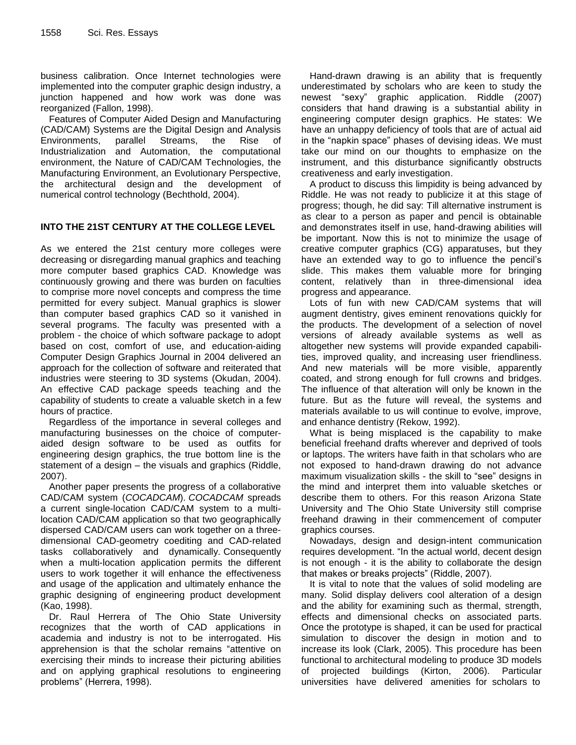business calibration. Once Internet technologies were implemented into the computer graphic design industry, a junction happened and how work was done was reorganized (Fallon, 1998).

Features of Computer Aided Design and Manufacturing (CAD/CAM) Systems are the Digital Design and Analysis Environments, parallel Streams, the Rise of Industrialization and Automation, the computational environment, the Nature of CAD/CAM Technologies, the Manufacturing Environment, an Evolutionary Perspective, the architectural design and the development of numerical control technology (Bechthold, 2004).

### **INTO THE 21ST CENTURY AT THE COLLEGE LEVEL**

As we entered the 21st century more colleges were decreasing or disregarding manual graphics and teaching more computer based graphics CAD. Knowledge was continuously growing and there was burden on faculties to comprise more novel concepts and compress the time permitted for every subject. Manual graphics is slower than computer based graphics CAD so it vanished in several programs. The faculty was presented with a problem - the choice of which software package to adopt based on cost, comfort of use, and education-aiding Computer Design Graphics Journal in 2004 delivered an approach for the collection of software and reiterated that industries were steering to 3D systems (Okudan, 2004). An effective CAD package speeds teaching and the capability of students to create a valuable sketch in a few hours of practice.

Regardless of the importance in several colleges and manufacturing businesses on the choice of computeraided design software to be used as outfits for engineering design graphics, the true bottom line is the statement of a design – the visuals and graphics (Riddle, 2007).

Another paper presents the progress of a collaborative CAD/CAM system (*COCADCAM*). *COCADCAM* spreads a current single-location CAD/CAM system to a multilocation CAD/CAM application so that two geographically dispersed CAD/CAM users can work together on a threedimensional CAD-geometry coediting and CAD-related tasks collaboratively and dynamically. Consequently when a multi-location application permits the different users to work together it will enhance the effectiveness and usage of the application and ultimately enhance the graphic designing of engineering product development (Kao, 1998).

Dr. Raul Herrera of The Ohio State University recognizes that the worth of CAD applications in academia and industry is not to be interrogated. His apprehension is that the scholar remains "attentive on exercising their minds to increase their picturing abilities and on applying graphical resolutions to engineering problems" (Herrera, 1998).

Hand-drawn drawing is an ability that is frequently underestimated by scholars who are keen to study the newest "sexy" graphic application. Riddle (2007) considers that hand drawing is a substantial ability in engineering computer design graphics. He states: We have an unhappy deficiency of tools that are of actual aid in the "napkin space" phases of devising ideas. We must take our mind on our thoughts to emphasize on the instrument, and this disturbance significantly obstructs creativeness and early investigation.

A product to discuss this limpidity is being advanced by Riddle. He was not ready to publicize it at this stage of progress; though, he did say: Till alternative instrument is as clear to a person as paper and pencil is obtainable and demonstrates itself in use, hand-drawing abilities will be important. Now this is not to minimize the usage of creative computer graphics (CG) apparatuses, but they have an extended way to go to influence the pencil's slide. This makes them valuable more for bringing content, relatively than in three-dimensional idea progress and appearance.

Lots of fun with new CAD/CAM systems that will augment dentistry, gives eminent renovations quickly for the products. The development of a selection of novel versions of already available systems as well as altogether new systems will provide expanded capabilities, improved quality, and increasing user friendliness. And new materials will be more visible, apparently coated, and strong enough for full crowns and bridges. The influence of that alteration will only be known in the future. But as the future will reveal, the systems and materials available to us will continue to evolve, improve, and enhance dentistry (Rekow, 1992).

What is being misplaced is the capability to make beneficial freehand drafts wherever and deprived of tools or laptops. The writers have faith in that scholars who are not exposed to hand-drawn drawing do not advance maximum visualization skills - the skill to "see" designs in the mind and interpret them into valuable sketches or describe them to others. For this reason Arizona State University and The Ohio State University still comprise freehand drawing in their commencement of computer graphics courses.

Nowadays, design and design-intent communication requires development. "In the actual world, decent design is not enough - it is the ability to collaborate the design that makes or breaks projects" (Riddle, 2007).

It is vital to note that the values of solid modeling are many. Solid display delivers cool alteration of a design and the ability for examining such as thermal, strength, effects and dimensional checks on associated parts. Once the prototype is shaped, it can be used for practical simulation to discover the design in motion and to increase its look (Clark, 2005). This procedure has been functional to architectural modeling to produce 3D models of projected buildings (Kirton, 2006). Particular universities have delivered amenities for scholars to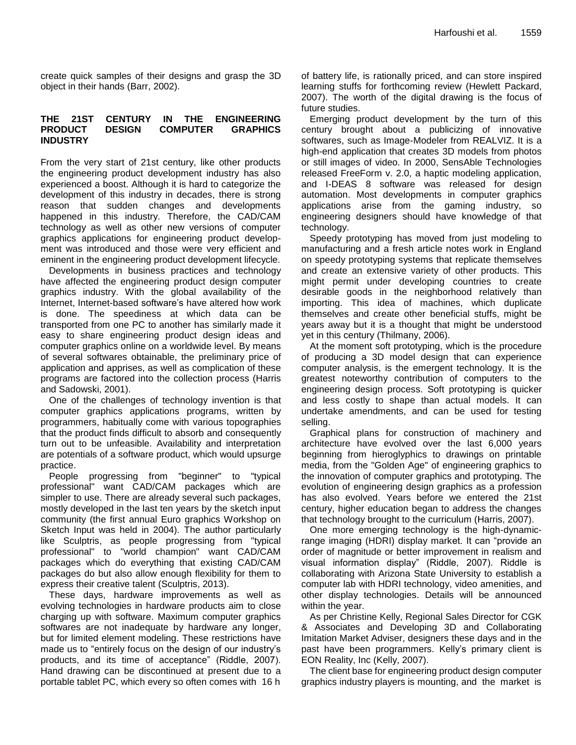create quick samples of their designs and grasp the 3D object in their hands (Barr, 2002).

#### **THE 21ST CENTURY IN THE ENGINEERING PRODUCT DESIGN COMPUTER GRAPHICS INDUSTRY**

From the very start of 21st century, like other products the engineering product development industry has also experienced a boost. Although it is hard to categorize the development of this industry in decades, there is strong reason that sudden changes and developments happened in this industry. Therefore, the CAD/CAM technology as well as other new versions of computer graphics applications for engineering product development was introduced and those were very efficient and eminent in the engineering product development lifecycle.

Developments in business practices and technology have affected the engineering product design computer graphics industry. With the global availability of the Internet, Internet-based software's have altered how work is done. The speediness at which data can be transported from one PC to another has similarly made it easy to share engineering product design ideas and computer graphics online on a worldwide level. By means of several softwares obtainable, the preliminary price of application and apprises, as well as complication of these programs are factored into the collection process (Harris and Sadowski, 2001).

One of the challenges of technology invention is that computer graphics applications programs, written by programmers, habitually come with various topographies that the product finds difficult to absorb and consequently turn out to be unfeasible. Availability and interpretation are potentials of a software product, which would upsurge practice.

People progressing from "beginner" to "typical professional" want CAD/CAM packages which are simpler to use. There are already several such packages, mostly developed in the last ten years by the sketch input community (the first annual Euro graphics Workshop on Sketch Input was held in 2004). The author particularly like Sculptris, as people progressing from "typical professional" to "world champion" want CAD/CAM packages which do everything that existing CAD/CAM packages do but also allow enough flexibility for them to express their creative talent (Sculptris, 2013).

These days, hardware improvements as well as evolving technologies in hardware products aim to close charging up with software. Maximum computer graphics softwares are not inadequate by hardware any longer, but for limited element modeling. These restrictions have made us to "entirely focus on the design of our industry's products, and its time of acceptance" (Riddle, 2007). Hand drawing can be discontinued at present due to a portable tablet PC, which every so often comes with 16 h of battery life, is rationally priced, and can store inspired learning stuffs for forthcoming review (Hewlett Packard, 2007). The worth of the digital drawing is the focus of future studies.

Emerging product development by the turn of this century brought about a publicizing of innovative softwares, such as Image-Modeler from REALVIZ. It is a high-end application that creates 3D models from photos or still images of video. In 2000, SensAble Technologies released FreeForm v. 2.0, a haptic modeling application, and I-DEAS 8 software was released for design automation. Most developments in computer graphics applications arise from the gaming industry, so engineering designers should have knowledge of that technology.

Speedy prototyping has moved from just modeling to manufacturing and a fresh article notes work in England on speedy prototyping systems that replicate themselves and create an extensive variety of other products. This might permit under developing countries to create desirable goods in the neighborhood relatively than importing. This idea of machines, which duplicate themselves and create other beneficial stuffs, might be years away but it is a thought that might be understood yet in this century (Thilmany, 2006).

At the moment soft prototyping, which is the procedure of producing a 3D model design that can experience computer analysis, is the emergent technology. It is the greatest noteworthy contribution of computers to the engineering design process. Soft prototyping is quicker and less costly to shape than actual models. It can undertake amendments, and can be used for testing selling.

Graphical plans for construction of machinery and architecture have evolved over the last 6,000 years beginning from hieroglyphics to drawings on printable media, from the "Golden Age" of engineering graphics to the innovation of computer graphics and prototyping. The evolution of engineering design graphics as a profession has also evolved. Years before we entered the 21st century, higher education began to address the changes that technology brought to the curriculum (Harris, 2007).

One more emerging technology is the high-dynamicrange imaging (HDRI) display market. It can "provide an order of magnitude or better improvement in realism and visual information display" (Riddle, 2007). Riddle is collaborating with Arizona State University to establish a computer lab with HDRI technology, video amenities, and other display technologies. Details will be announced within the year.

As per Christine Kelly, Regional Sales Director for CGK & Associates and Developing 3D and Collaborating Imitation Market Adviser, designers these days and in the past have been programmers. Kelly's primary client is EON Reality, Inc (Kelly, 2007).

The client base for engineering product design computer graphics industry players is mounting, and the market is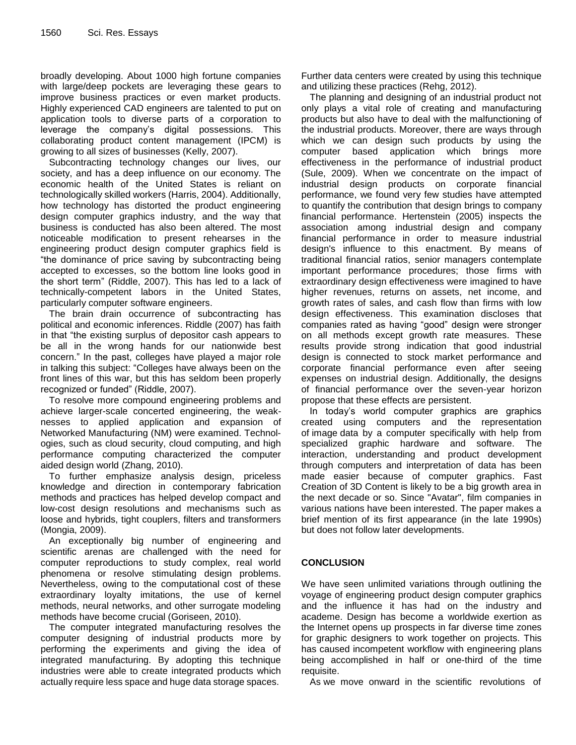broadly developing. About 1000 high fortune companies with large/deep pockets are leveraging these gears to improve business practices or even market products. Highly experienced CAD engineers are talented to put on application tools to diverse parts of a corporation to leverage the company's digital possessions. This collaborating product content management (IPCM) is growing to all sizes of businesses (Kelly, 2007).

Subcontracting technology changes our lives, our society, and has a deep influence on our economy. The economic health of the United States is reliant on technologically skilled workers (Harris, 2004). Additionally, how technology has distorted the product engineering design computer graphics industry, and the way that business is conducted has also been altered. The most noticeable modification to present rehearses in the engineering product design computer graphics field is "the dominance of price saving by subcontracting being accepted to excesses, so the bottom line looks good in the short term" (Riddle, 2007). This has led to a lack of technically-competent labors in the United States, particularly computer software engineers.

The brain drain occurrence of subcontracting has political and economic inferences. Riddle (2007) has faith in that "the existing surplus of depositor cash appears to be all in the wrong hands for our nationwide best concern." In the past, colleges have played a major role in talking this subject: "Colleges have always been on the front lines of this war, but this has seldom been properly recognized or funded" (Riddle, 2007).

To resolve more compound engineering problems and achieve larger-scale concerted engineering, the weaknesses to applied application and expansion of Networked Manufacturing (NM) were examined. Technologies, such as cloud security, cloud computing, and high performance computing characterized the computer aided design world (Zhang, 2010).

To further emphasize analysis design, priceless knowledge and direction in contemporary fabrication methods and practices has helped develop compact and low-cost design resolutions and mechanisms such as loose and hybrids, tight couplers, filters and transformers (Mongia, 2009).

An exceptionally big number of engineering and scientific arenas are challenged with the need for computer reproductions to study complex, real world phenomena or resolve stimulating design problems. Nevertheless, owing to the computational cost of these extraordinary loyalty imitations, the use of kernel methods, neural networks, and other surrogate modeling methods have become crucial (Goriseen, 2010).

The computer integrated manufacturing resolves the computer designing of industrial products more by performing the experiments and giving the idea of integrated manufacturing. By adopting this technique industries were able to create integrated products which actually require less space and huge data storage spaces.

Further data centers were created by using this technique and utilizing these practices (Rehg, 2012).

The planning and designing of an industrial product not only plays a vital role of creating and manufacturing products but also have to deal with the malfunctioning of the industrial products. Moreover, there are ways through which we can design such products by using the computer based application which brings more effectiveness in the performance of industrial product (Sule, 2009). When we concentrate on the impact of industrial design products on corporate financial performance, we found very few studies have attempted to quantify the contribution that design brings to company financial performance. Hertenstein (2005) inspects the association among industrial design and company financial performance in order to measure industrial design's influence to this enactment. By means of traditional financial ratios, senior managers contemplate important performance procedures; those firms with extraordinary design effectiveness were imagined to have higher revenues, returns on assets, net income, and growth rates of sales, and cash flow than firms with low design effectiveness. This examination discloses that companies rated as having "good" design were stronger on all methods except growth rate measures. These results provide strong indication that good industrial design is connected to stock market performance and corporate financial performance even after seeing expenses on industrial design. Additionally, the designs of financial performance over the seven-year horizon propose that these effects are persistent.

In today's world computer graphics are graphics created using computers and the representation of [image](http://en.wikipedia.org/wiki/Image) data by a computer specifically with help from specialized graphic hardware and software. The interaction, understanding and product development through computers and interpretation of data has been made easier because of computer graphics. Fast Creation of 3D Content is likely to be a big growth area in the next decade or so. Since "Avatar", film companies in various nations have been interested. The paper makes a brief mention of its first appearance (in the late 1990s) but does not follow later developments.

#### **CONCLUSION**

We have seen unlimited variations through outlining the voyage of engineering product design computer graphics and the influence it has had on the industry and academe. Design has become a worldwide exertion as the Internet opens up prospects in far diverse time zones for graphic designers to work together on projects. This has caused incompetent workflow with engineering plans being accomplished in half or one-third of the time requisite.

As we move onward in the scientific revolutions of